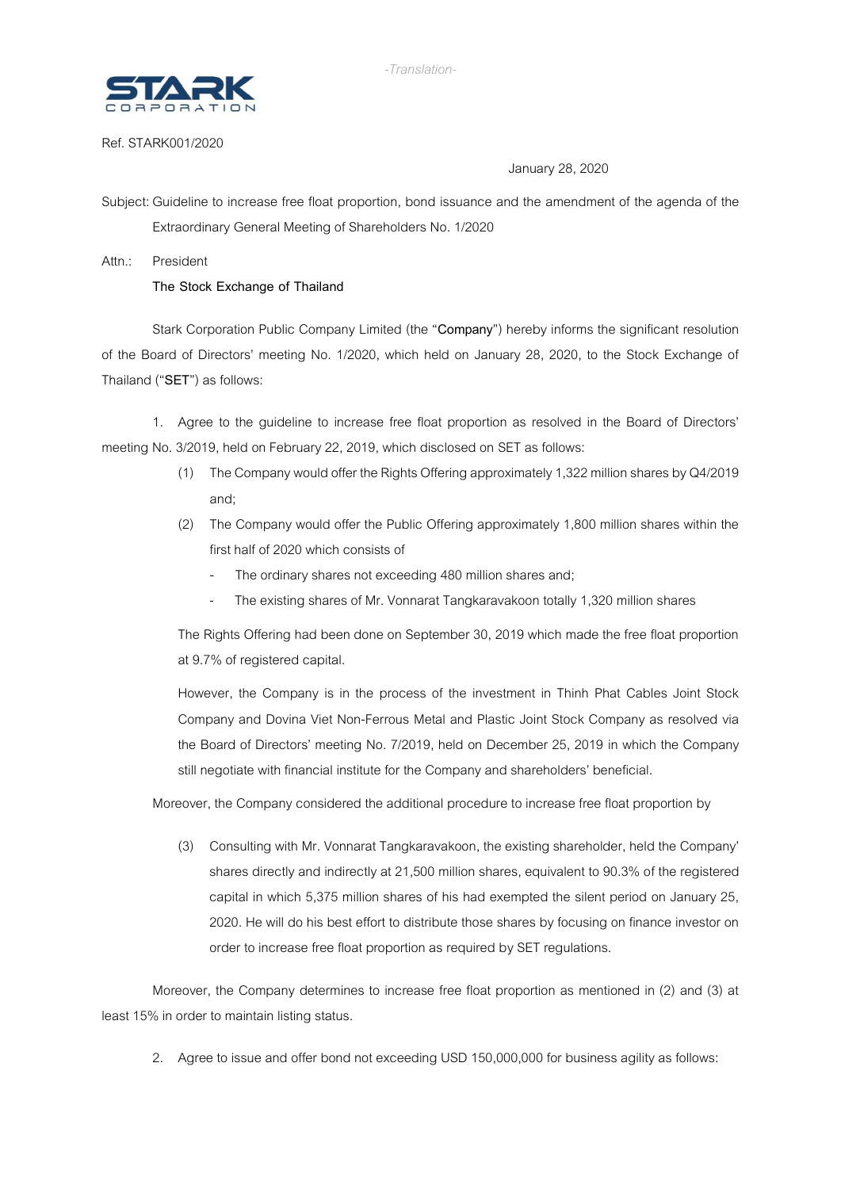

## Ref. STARK001/2020

## January 28, 2020

Subject: Guideline to increase free float proportion, bond issuance and the amendment of the agenda of the Extraordinary General Meeting of Shareholders No. 1/2020

## Attn.: President

## **The Stock Exchange of Thailand**

Stark Corporation Public Company Limited (the "**Company**") hereby informs the significant resolution of the Board of Directors' meeting No. 1/2020, which held on January 28, 2020, to the Stock Exchange of Thailand ("SET") as follows:

1. Agree to the guideline to increase free float proportion as resolved in the Board of Directors' meeting No. 3/2019, held on February 22, 2019, which disclosed on SET as follows:

- (1) The Company would offer the Rights Offering approximately 1,322 million shares by Q4/2019 and;
- (2) The Company would offer the Public Offering approximately 1,800 million shares within the first half of 2020 which consists of
	- The ordinary shares not exceeding 480 million shares and;
	- The existing shares of Mr. Vonnarat Tangkaravakoon totally 1,320 million shares

The Rights Offering had been done on September 30, 2019 which made the free float proportion at 9.7% of registered capital.

However, the Company is in the process of the investment in Thinh Phat Cables Joint Stock Company and Dovina Viet Non-Ferrous Metal and Plastic Joint Stock Company as resolved via the Board of Directors' meeting No. 7/2019, held on December 25, 2019 in which the Company still negotiate with financial institute for the Company and shareholders' beneficial.

Moreover, the Company considered the additional procedure to increase free float proportion by

(3) Consulting with Mr. Vonnarat Tangkaravakoon, the existing shareholder, held the Company' shares directly and indirectly at 21,500 million shares, equivalent to 90.3% of the registered capital in which 5,375 million shares of his had exempted the silent period on January 25, 2020. He will do his best effort to distribute those shares by focusing on finance investor on order to increase free float proportion as required by SET regulations.

Moreover, the Company determines to increase free float proportion as mentioned in (2) and (3) at least 15% in order to maintain listing status.

2. Agree to issue and offer bond not exceeding USD 150,000,000 for business agility as follows: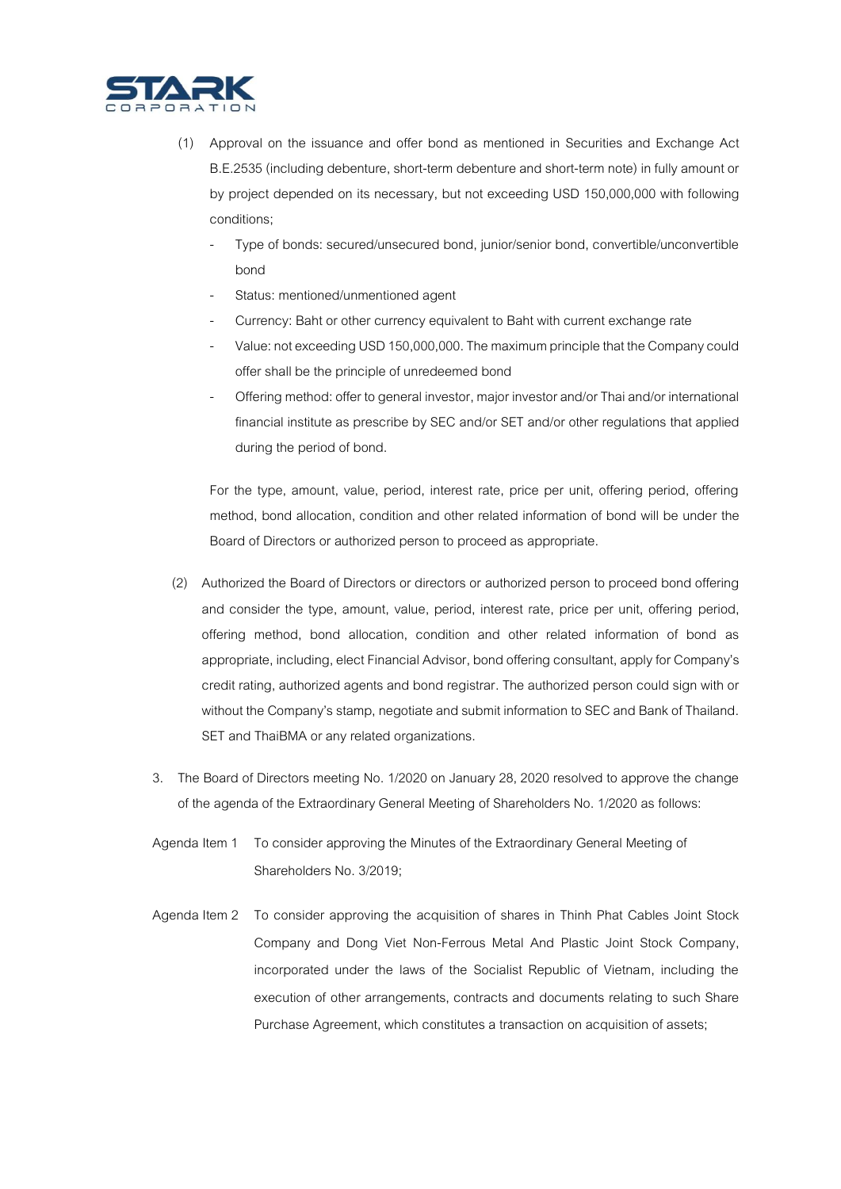

- (1) Approval on the issuance and offer bond as mentioned in Securities and Exchange Act B.E.2535 (including debenture, short-term debenture and short-term note) in fully amount or by project depended on its necessary, but not exceeding USD 150,000,000 with following conditions;
	- Type of bonds: secured/unsecured bond, junior/senior bond, convertible/unconvertible bond
	- Status: mentioned/unmentioned agent
	- Currency: Baht or other currency equivalent to Baht with current exchange rate
	- Value: not exceeding USD 150,000,000. The maximum principle that the Company could offer shall be the principle of unredeemed bond
	- Offering method: offer to general investor, major investor and/or Thai and/or international financial institute as prescribe by SEC and/or SET and/or other regulations that applied during the period of bond.

For the type, amount, value, period, interest rate, price per unit, offering period, offering method, bond allocation, condition and other related information of bond will be under the Board of Directors or authorized person to proceed as appropriate.

- (2) Authorized the Board of Directors or directors or authorized person to proceed bond offering and consider the type, amount, value, period, interest rate, price per unit, offering period, offering method, bond allocation, condition and other related information of bond as appropriate, including, elect Financial Advisor, bond offering consultant, apply for Company's credit rating, authorized agents and bond registrar. The authorized person could sign with or without the Company's stamp, negotiate and submit information to SEC and Bank of Thailand. SET and ThaiBMA or any related organizations.
- 3. The Board of Directors meeting No. 1/2020 on January 28, 2020 resolved to approve the change of the agenda of the Extraordinary General Meeting of Shareholders No. 1/2020 as follows:
- Agenda Item 1 To consider approving the Minutes of the Extraordinary General Meeting of Shareholders No. 3/2019;
- Agenda Item 2 To consider approving the acquisition of shares in Thinh Phat Cables Joint Stock Company and Dong Viet Non-Ferrous Metal And Plastic Joint Stock Company, incorporated under the laws of the Socialist Republic of Vietnam, including the execution of other arrangements, contracts and documents relating to such Share Purchase Agreement, which constitutes a transaction on acquisition of assets;